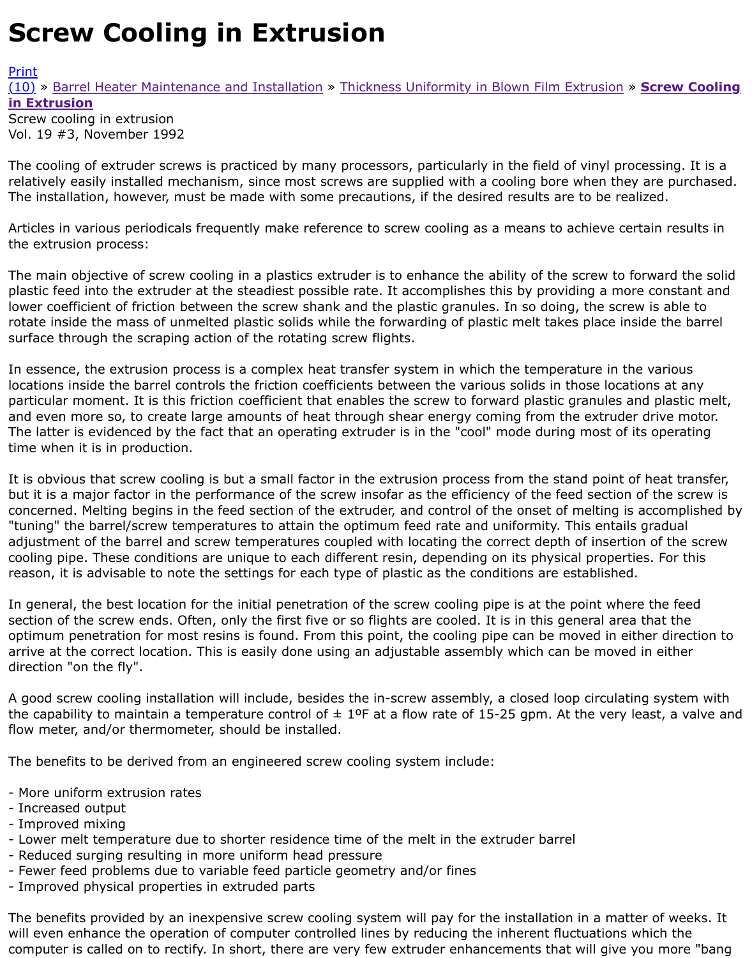## Vol. 19 #3, November 1992

The cooling of extruder screws is practiced by many processors, particularly in the field of vinyl prod relatively easily installed mechanism, since most screws are supplied with a cooling bore when they [The i](http://extrusionwiki.com/wiki/Print.aspx?Page=CC-V19-3-E)nstallation, however, must be made with some precautions, if the desired results are to be real

Articles in various periodicals frequently make reference to screw cooling as a means to achieve cer the extrusion process:

The main objective of screw cooling in a plastics extruder is to enhance the ability of the screw to fo plastic feed into the extruder at the steadiest possible rate. It accomplishes this by providing a more lower coefficient of friction between the screw shank and the plastic granules. In so doing, the screv rotate inside the mass of unmelted plastic solids while the forwarding of plastic melt takes place ins surface through the scraping action of the rotating screw flights.

In essence, the extrusion process is a complex heat transfer system in which the temperature in the locations inside the barrel controls the friction coefficients between the various solids in those locati particular moment. It is this friction coefficient that enables the screw to forward plastic granules ar and even more so, to create large amounts of heat through shear energy coming from the extruder The latter is evidenced by the fact that an operating extruder is in the "cool" mode during most of it time when it is in production.

It is obvious that screw cooling is but a small factor in the extrusion process from the stand point of but it is a major factor in the performance of the screw insofar as the efficiency of the feed section of concerned. Melting begins in the feed section of the extruder, and control of the onset of melting is "tuning" the barrel/screw temperatures to attain the optimum feed rate and uniformity. This entails adjustment of the barrel and screw temperatures coupled with locating the correct depth of insertio cooling pipe. These conditions are unique to each different resin, depending on its physical propertion reason, it is advisable to note the settings for each type of plastic as the conditions are established.

In general, the best location for the initial penetration of the screw cooling pipe is at the point where section of the screw ends. Often, only the first five or so flights are cooled. It is in this general area optimum penetration for most resins is found. From this point, the cooling pipe can be moved in eith arrive at the correct location. This is easily done using an adjustable assembly which can be moved direction "on the fly".

A good screw cooling installation will include, besides the in-screw assembly, a closed loop circulatir the capability to maintain a temperature control of  $\pm$  1ºF at a flow rate of 15-25 gpm. At the very le flow meter, and/or thermometer, should be installed.

The benefits to be derived from an engineered screw cooling system include:

- More uniform extrusion rates
- Increased output
- Improved mixing
- Lower melt temperature due to shorter residence time of the melt in the extruder barrel
- Reduced surging resulting in more uniform head pressure
- Fewer feed problems due to variable feed particle geometry and/or fines
- Improved physical properties in extruded parts

The benefits provided by an inexpensive screw cooling system will pay for the installation in a matter will even enhance the operation of computer controlled lines by reducing the inherent fluctuations w computer is called on to rectify. In short, there are very few extruder enhancements that will give y